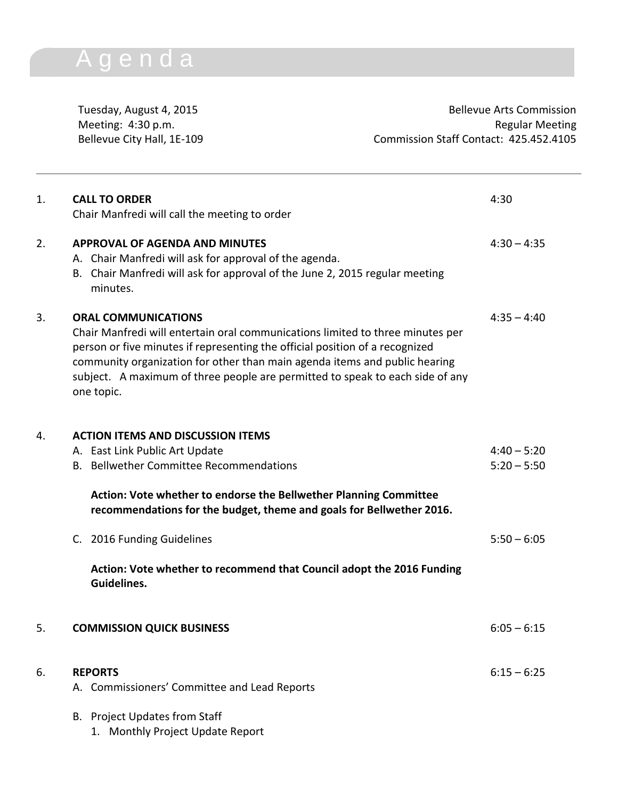## A g e n d a

Tuesday, August 4, 2015 and the Commission Bellevue Arts Commission Meeting: 4:30 p.m. **Regular Meeting** Bellevue City Hall, 1E-109 Commission Staff Contact: 425.452.4105

| 1. | <b>CALL TO ORDER</b><br>Chair Manfredi will call the meeting to order                                                                                                                                                                                                                                                                                                     | 4:30          |
|----|---------------------------------------------------------------------------------------------------------------------------------------------------------------------------------------------------------------------------------------------------------------------------------------------------------------------------------------------------------------------------|---------------|
| 2. | <b>APPROVAL OF AGENDA AND MINUTES</b><br>A. Chair Manfredi will ask for approval of the agenda.<br>B. Chair Manfredi will ask for approval of the June 2, 2015 regular meeting<br>minutes.                                                                                                                                                                                | $4:30 - 4:35$ |
| 3. | <b>ORAL COMMUNICATIONS</b><br>Chair Manfredi will entertain oral communications limited to three minutes per<br>person or five minutes if representing the official position of a recognized<br>community organization for other than main agenda items and public hearing<br>subject. A maximum of three people are permitted to speak to each side of any<br>one topic. | $4:35 - 4:40$ |
| 4. | <b>ACTION ITEMS AND DISCUSSION ITEMS</b>                                                                                                                                                                                                                                                                                                                                  |               |
|    | A. East Link Public Art Update                                                                                                                                                                                                                                                                                                                                            | $4:40 - 5:20$ |
|    | B. Bellwether Committee Recommendations                                                                                                                                                                                                                                                                                                                                   | $5:20 - 5:50$ |
|    | Action: Vote whether to endorse the Bellwether Planning Committee<br>recommendations for the budget, theme and goals for Bellwether 2016.                                                                                                                                                                                                                                 |               |
|    | C. 2016 Funding Guidelines                                                                                                                                                                                                                                                                                                                                                | $5:50 - 6:05$ |
|    | Action: Vote whether to recommend that Council adopt the 2016 Funding<br>Guidelines.                                                                                                                                                                                                                                                                                      |               |
| 5. | <b>COMMISSION QUICK BUSINESS</b>                                                                                                                                                                                                                                                                                                                                          | $6:05 - 6:15$ |
| 6. | <b>REPORTS</b>                                                                                                                                                                                                                                                                                                                                                            | $6:15 - 6:25$ |
|    | A. Commissioners' Committee and Lead Reports                                                                                                                                                                                                                                                                                                                              |               |
|    | B. Project Updates from Staff                                                                                                                                                                                                                                                                                                                                             |               |
|    | 1. Monthly Project Update Report                                                                                                                                                                                                                                                                                                                                          |               |